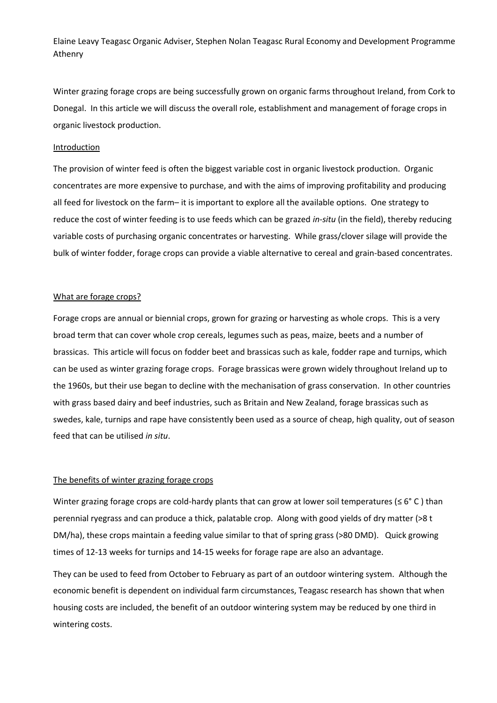Elaine Leavy Teagasc Organic Adviser, Stephen Nolan Teagasc Rural Economy and Development Programme Athenry

Winter grazing forage crops are being successfully grown on organic farms throughout Ireland, from Cork to Donegal. In this article we will discuss the overall role, establishment and management of forage crops in organic livestock production.

#### Introduction

The provision of winter feed is often the biggest variable cost in organic livestock production. Organic concentrates are more expensive to purchase, and with the aims of improving profitability and producing all feed for livestock on the farm– it is important to explore all the available options. One strategy to reduce the cost of winter feeding is to use feeds which can be grazed *in-situ* (in the field), thereby reducing variable costs of purchasing organic concentrates or harvesting. While grass/clover silage will provide the bulk of winter fodder, forage crops can provide a viable alternative to cereal and grain-based concentrates.

### What are forage crops?

Forage crops are annual or biennial crops, grown for grazing or harvesting as whole crops. This is a very broad term that can cover whole crop cereals, legumes such as peas, maize, beets and a number of brassicas. This article will focus on fodder beet and brassicas such as kale, fodder rape and turnips, which can be used as winter grazing forage crops. Forage brassicas were grown widely throughout Ireland up to the 1960s, but their use began to decline with the mechanisation of grass conservation. In other countries with grass based dairy and beef industries, such as Britain and New Zealand, forage brassicas such as swedes, kale, turnips and rape have consistently been used as a source of cheap, high quality, out of season feed that can be utilised *in situ*.

#### The benefits of winter grazing forage crops

Winter grazing forage crops are cold-hardy plants that can grow at lower soil temperatures ( $\leq 6^{\circ}$  C) than perennial ryegrass and can produce a thick, palatable crop. Along with good yields of dry matter (>8 t DM/ha), these crops maintain a feeding value similar to that of spring grass (>80 DMD). Quick growing times of 12-13 weeks for turnips and 14-15 weeks for forage rape are also an advantage.

They can be used to feed from October to February as part of an outdoor wintering system. Although the economic benefit is dependent on individual farm circumstances, Teagasc research has shown that when housing costs are included, the benefit of an outdoor wintering system may be reduced by one third in wintering costs.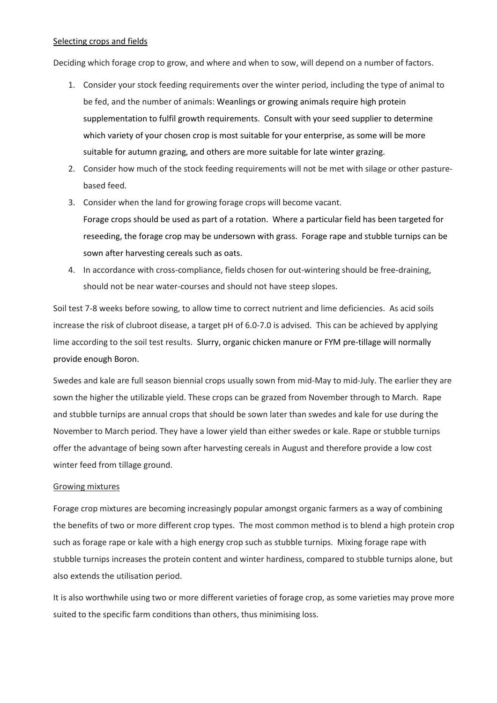#### Selecting crops and fields

Deciding which forage crop to grow, and where and when to sow, will depend on a number of factors.

- 1. Consider your stock feeding requirements over the winter period, including the type of animal to be fed, and the number of animals: Weanlings or growing animals require high protein supplementation to fulfil growth requirements. Consult with your seed supplier to determine which variety of your chosen crop is most suitable for your enterprise, as some will be more suitable for autumn grazing, and others are more suitable for late winter grazing.
- 2. Consider how much of the stock feeding requirements will not be met with silage or other pasturebased feed.
- 3. Consider when the land for growing forage crops will become vacant. Forage crops should be used as part of a rotation. Where a particular field has been targeted for reseeding, the forage crop may be undersown with grass. Forage rape and stubble turnips can be sown after harvesting cereals such as oats.
- 4. In accordance with cross-compliance, fields chosen for out-wintering should be free-draining, should not be near water-courses and should not have steep slopes.

Soil test 7-8 weeks before sowing, to allow time to correct nutrient and lime deficiencies. As acid soils increase the risk of clubroot disease, a target pH of 6.0-7.0 is advised. This can be achieved by applying lime according to the soil test results. Slurry, organic chicken manure or FYM pre-tillage will normally provide enough Boron.

Swedes and kale are full season biennial crops usually sown from mid-May to mid-July. The earlier they are sown the higher the utilizable yield. These crops can be grazed from November through to March. Rape and stubble turnips are annual crops that should be sown later than swedes and kale for use during the November to March period. They have a lower yield than either swedes or kale. Rape or stubble turnips offer the advantage of being sown after harvesting cereals in August and therefore provide a low cost winter feed from tillage ground.

## Growing mixtures

Forage crop mixtures are becoming increasingly popular amongst organic farmers as a way of combining the benefits of two or more different crop types. The most common method is to blend a high protein crop such as forage rape or kale with a high energy crop such as stubble turnips. Mixing forage rape with stubble turnips increases the protein content and winter hardiness, compared to stubble turnips alone, but also extends the utilisation period.

It is also worthwhile using two or more different varieties of forage crop, as some varieties may prove more suited to the specific farm conditions than others, thus minimising loss.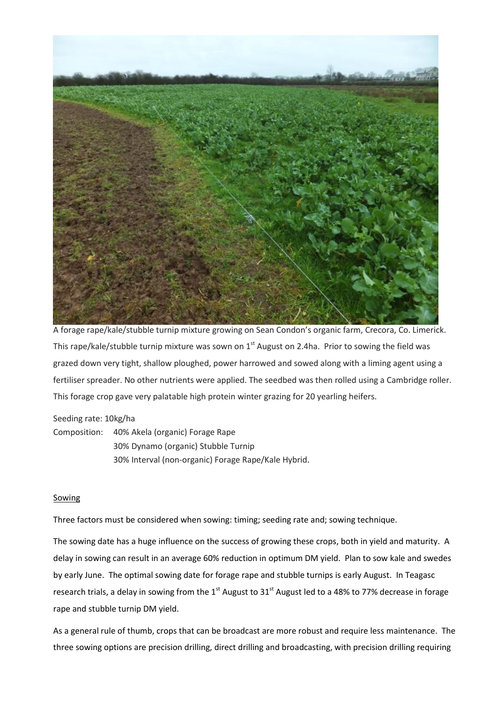

A forage rape/kale/stubble turnip mixture growing on Sean Condon's organic farm, Crecora, Co. Limerick. This rape/kale/stubble turnip mixture was sown on  $1<sup>st</sup>$  August on 2.4ha. Prior to sowing the field was grazed down very tight, shallow ploughed, power harrowed and sowed along with a liming agent using a fertiliser spreader. No other nutrients were applied. The seedbed was then rolled using a Cambridge roller. This forage crop gave very palatable high protein winter grazing for 20 yearling heifers.

## Seeding rate: 10kg/ha

Composition: 40% Akela (organic) Forage Rape 30% Dynamo (organic) Stubble Turnip 30% Interval (non-organic) Forage Rape/Kale Hybrid.

## Sowing

Three factors must be considered when sowing: timing; seeding rate and; sowing technique.

The sowing date has a huge influence on the success of growing these crops, both in yield and maturity. A delay in sowing can result in an average 60% reduction in optimum DM yield. Plan to sow kale and swedes by early June. The optimal sowing date for forage rape and stubble turnips is early August. In Teagasc research trials, a delay in sowing from the  $1<sup>st</sup>$  August to 31<sup>st</sup> August led to a 48% to 77% decrease in forage rape and stubble turnip DM yield.

As a general rule of thumb, crops that can be broadcast are more robust and require less maintenance. The three sowing options are precision drilling, direct drilling and broadcasting, with precision drilling requiring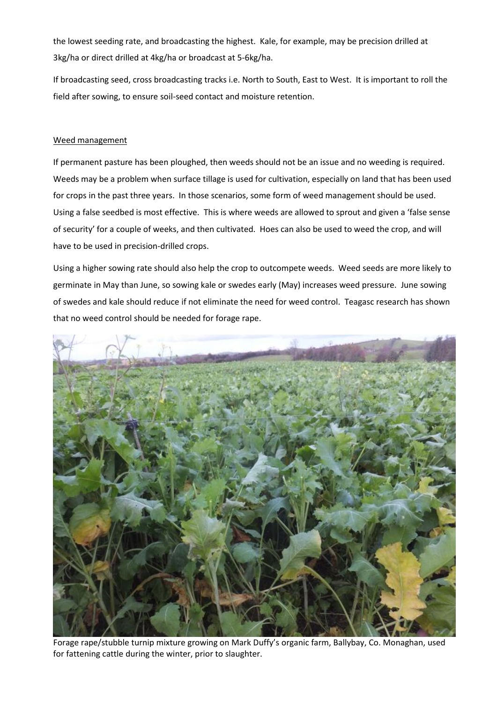the lowest seeding rate, and broadcasting the highest. Kale, for example, may be precision drilled at 3kg/ha or direct drilled at 4kg/ha or broadcast at 5-6kg/ha.

If broadcasting seed, cross broadcasting tracks i.e. North to South, East to West. It is important to roll the field after sowing, to ensure soil-seed contact and moisture retention.

# Weed management

If permanent pasture has been ploughed, then weeds should not be an issue and no weeding is required. Weeds may be a problem when surface tillage is used for cultivation, especially on land that has been used for crops in the past three years. In those scenarios, some form of weed management should be used. Using a false seedbed is most effective. This is where weeds are allowed to sprout and given a 'false sense of security' for a couple of weeks, and then cultivated. Hoes can also be used to weed the crop, and will have to be used in precision-drilled crops.

Using a higher sowing rate should also help the crop to outcompete weeds. Weed seeds are more likely to germinate in May than June, so sowing kale or swedes early (May) increases weed pressure. June sowing of swedes and kale should reduce if not eliminate the need for weed control. Teagasc research has shown that no weed control should be needed for forage rape.



Forage rape/stubble turnip mixture growing on Mark Duffy's organic farm, Ballybay, Co. Monaghan, used for fattening cattle during the winter, prior to slaughter.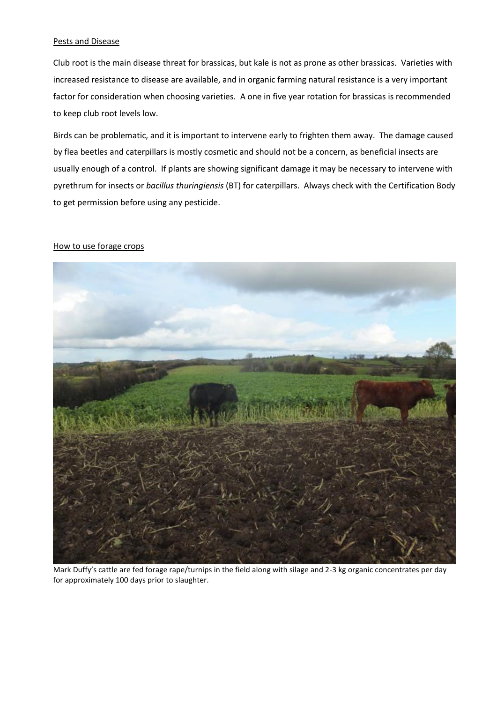### Pests and Disease

Club root is the main disease threat for brassicas, but kale is not as prone as other brassicas. Varieties with increased resistance to disease are available, and in organic farming natural resistance is a very important factor for consideration when choosing varieties. A one in five year rotation for brassicas is recommended to keep club root levels low.

Birds can be problematic, and it is important to intervene early to frighten them away. The damage caused by flea beetles and caterpillars is mostly cosmetic and should not be a concern, as beneficial insects are usually enough of a control. If plants are showing significant damage it may be necessary to intervene with pyrethrum for insects or *bacillus thuringiensis* (BT) for caterpillars. Always check with the Certification Body to get permission before using any pesticide.

### How to use forage crops



Mark Duffy's cattle are fed forage rape/turnips in the field along with silage and 2-3 kg organic concentrates per day for approximately 100 days prior to slaughter.